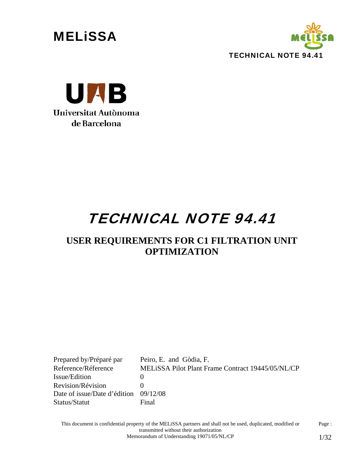





# TECHNICAL NOTE 94.41

## **USER REQUIREMENTS FOR C1 FILTRATION UNIT OPTIMIZATION**

Prepared by/Préparé par Peiro, E. and Gòdia, F. Reference/Réference MELiSSA Pilot Plant Frame Contract 19445/05/NL/CP Issue/Edition 0 Revision/Révision 0 Date of issue/Date d'édition 09/12/08 Status/Statut Final

This document is confidential property of the MELiSSA partners and shall not be used, duplicated, modified or transmitted without their authorization Page : Memorandum of Understanding 19071/05/NL/CP 1/32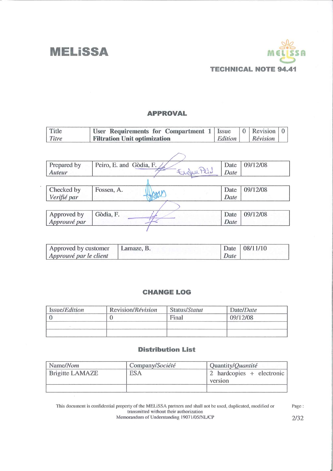

#### **APPROVAL**

| Title        | User Requirements for Compartment 1 | Issue   | $\mathbf{0}$ | Revision | $\Omega$ |
|--------------|-------------------------------------|---------|--------------|----------|----------|
| Titre        | <b>Filtration Unit optimization</b> | Edition |              | Révision |          |
|              |                                     |         |              |          |          |
|              |                                     |         |              |          |          |
| Prepared by  | Peiro, E. and Gòdia, F.             | Date    |              | 09/12/08 |          |
| Auteur       | Ender Pero                          | Date    |              |          |          |
|              |                                     |         |              |          |          |
| Checked by   | Fossen, A.                          | Date    |              | 09/12/08 |          |
| Verifié par  |                                     | Date    |              |          |          |
|              |                                     |         |              |          |          |
| Approved by  | Gòdia, F.                           | Date    |              | 09/12/08 |          |
| Approuvé par |                                     | Date    |              |          |          |
|              |                                     |         |              |          |          |

| Approved by customer   Lamaze, B. |      | Date   08/11/10 |  |
|-----------------------------------|------|-----------------|--|
| Approuvé par le client            | Date |                 |  |

#### **CHANGE LOG**

| Issue/ <i>Edition</i> | Revision/Révision | Status/Statut | Date/ <i>Date</i> |
|-----------------------|-------------------|---------------|-------------------|
|                       |                   | Final         | 09/12/08          |
|                       |                   |               |                   |
|                       |                   |               |                   |

#### **Distribution List**

| Name/Nom        | Company/Société | Quantity/ <i>Quantité</i>            |
|-----------------|-----------------|--------------------------------------|
| Brigitte LAMAZE | <b>ESA</b>      | 2 hardcopies + electronic<br>version |
|                 |                 |                                      |

This document is confidential property of the MELiSSA partners and shall not be used, duplicated, modified or<br>transmitted without their authorization<br>Memorandum of Understanding 19071/05/NL/CP

 $\rm Page:$  $2/32$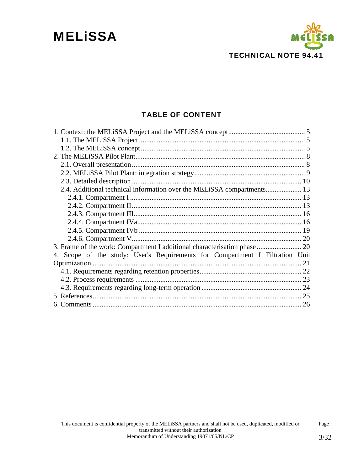

### TABLE OF CONTENT

| 2.4. Additional technical information over the MELISSA compartments 13       |  |
|------------------------------------------------------------------------------|--|
|                                                                              |  |
|                                                                              |  |
|                                                                              |  |
|                                                                              |  |
|                                                                              |  |
|                                                                              |  |
|                                                                              |  |
| 4. Scope of the study: User's Requirements for Compartment I Filtration Unit |  |
|                                                                              |  |
|                                                                              |  |
|                                                                              |  |
|                                                                              |  |
|                                                                              |  |
|                                                                              |  |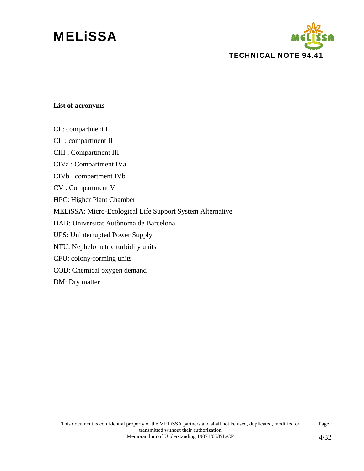# **MELISSA**



#### **List of acronyms**

CI : compartment I

CII : compartment II

CIII : Compartment III

CIVa : Compartment IVa

CIVb : compartment IVb

CV : Compartment V

HPC: Higher Plant Chamber

MELiSSA: Micro-Ecological Life Support System Alternative

UAB: Universitat Autònoma de Barcelona

UPS: Uninterrupted Power Supply

NTU: Nephelometric turbidity units

CFU: colony-forming units

COD: Chemical oxygen demand

DM: Dry matter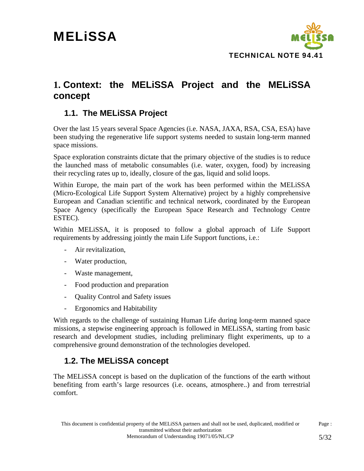

### **1. Context: the MELiSSA Project and the MELiSSA concept**

### **1.1. The MELiSSA Project**

Over the last 15 years several Space Agencies (i.e. NASA, JAXA, RSA, CSA, ESA) have been studying the regenerative life support systems needed to sustain long-term manned space missions.

Space exploration constraints dictate that the primary objective of the studies is to reduce the launched mass of metabolic consumables (i.e. water, oxygen, food) by increasing their recycling rates up to, ideally, closure of the gas, liquid and solid loops.

Within Europe, the main part of the work has been performed within the MELiSSA (Micro-Ecological Life Support System Alternative) project by a highly comprehensive European and Canadian scientific and technical network, coordinated by the European Space Agency (specifically the European Space Research and Technology Centre ESTEC).

Within MELiSSA, it is proposed to follow a global approach of Life Support requirements by addressing jointly the main Life Support functions, i.e.:

- Air revitalization,
- Water production,
- Waste management,
- Food production and preparation
- Quality Control and Safety issues
- Ergonomics and Habitability

With regards to the challenge of sustaining Human Life during long-term manned space missions, a stepwise engineering approach is followed in MELiSSA, starting from basic research and development studies, including preliminary flight experiments, up to a comprehensive ground demonstration of the technologies developed.

### **1.2. The MELiSSA concept**

The MELiSSA concept is based on the duplication of the functions of the earth without benefiting from earth's large resources (i.e. oceans, atmosphere..) and from terrestrial comfort.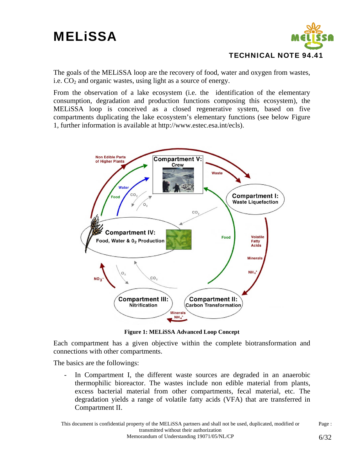

The goals of the MELiSSA loop are the recovery of food, water and oxygen from wastes, i.e.  $CO<sub>2</sub>$  and organic wastes, using light as a source of energy.

From the observation of a lake ecosystem (i.e. the identification of the elementary consumption, degradation and production functions composing this ecosystem), the MELiSSA loop is conceived as a closed regenerative system, based on five compartments duplicating the lake ecosystem's elementary functions (see below Figure 1, further information is available at http://www.estec.esa.int/ecls).



**Figure 1: MELiSSA Advanced Loop Concept** 

Each compartment has a given objective within the complete biotransformation and connections with other compartments.

The basics are the followings:

- In Compartment I, the different waste sources are degraded in an anaerobic thermophilic bioreactor. The wastes include non edible material from plants, excess bacterial material from other compartments, fecal material, etc. The degradation yields a range of volatile fatty acids (VFA) that are transferred in Compartment II.

This document is confidential property of the MELiSSA partners and shall not be used, duplicated, modified or transmitted without their authorization Page : Memorandum of Understanding 19071/05/NL/CP 6/32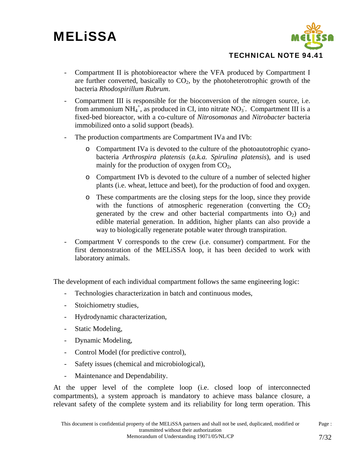

- Compartment II is photobioreactor where the VFA produced by Compartment I are further converted, basically to  $CO<sub>2</sub>$ , by the photoheterotrophic growth of the bacteria *Rhodospirillum Rubrum*.
- Compartment III is responsible for the bioconversion of the nitrogen source, i.e. from ammonium  $NH_4^+$ , as produced in CI, into nitrate  $NO_3$ . Compartment III is a fixed-bed bioreactor, with a co-culture of *Nitrosomonas* and *Nitrobacter* bacteria immobilized onto a solid support (beads).
- The production compartments are Compartment IVa and IVb:
	- o Compartment IVa is devoted to the culture of the photoautotrophic cyanobacteria *Arthrospira platensis* (*a.k.a. Spirulina platensis*), and is used mainly for the production of oxygen from  $CO<sub>2</sub>$ ,
	- o Compartment IVb is devoted to the culture of a number of selected higher plants (i.e. wheat, lettuce and beet), for the production of food and oxygen.
	- o These compartments are the closing steps for the loop, since they provide with the functions of atmospheric regeneration (converting the  $CO<sub>2</sub>$ generated by the crew and other bacterial compartments into  $O_2$ ) and edible material generation. In addition, higher plants can also provide a way to biologically regenerate potable water through transpiration.
- Compartment V corresponds to the crew (i.e. consumer) compartment. For the first demonstration of the MELiSSA loop, it has been decided to work with laboratory animals.

The development of each individual compartment follows the same engineering logic:

- Technologies characterization in batch and continuous modes,
- Stoichiometry studies,
- Hydrodynamic characterization,
- Static Modeling,
- Dynamic Modeling,
- Control Model (for predictive control),
- Safety issues (chemical and microbiological),
- Maintenance and Dependability.

At the upper level of the complete loop (i.e. closed loop of interconnected compartments), a system approach is mandatory to achieve mass balance closure, a relevant safety of the complete system and its reliability for long term operation. This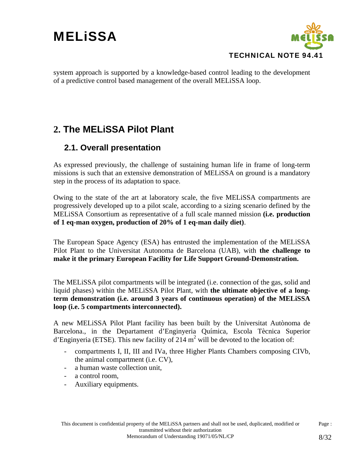

system approach is supported by a knowledge-based control leading to the development of a predictive control based management of the overall MELiSSA loop.

## **2. The MELiSSA Pilot Plant**

### **2.1. Overall presentation**

As expressed previously, the challenge of sustaining human life in frame of long-term missions is such that an extensive demonstration of MELiSSA on ground is a mandatory step in the process of its adaptation to space.

Owing to the state of the art at laboratory scale, the five MELiSSA compartments are progressively developed up to a pilot scale, according to a sizing scenario defined by the MELiSSA Consortium as representative of a full scale manned mission **(i.e. production of 1 eq-man oxygen, production of 20% of 1 eq-man daily diet)**.

The European Space Agency (ESA) has entrusted the implementation of the MELiSSA Pilot Plant to the Universitat Autonoma de Barcelona (UAB), with **the challenge to make it the primary European Facility for Life Support Ground-Demonstration.** 

The MELiSSA pilot compartments will be integrated (i.e. connection of the gas, solid and liquid phases) within the MELiSSA Pilot Plant, with **the ultimate objective of a longterm demonstration (i.e. around 3 years of continuous operation) of the MELiSSA loop (i.e. 5 compartments interconnected).** 

A new MELiSSA Pilot Plant facility has been built by the Universitat Autònoma de Barcelona., in the Departament d'Enginyeria Química, Escola Tècnica Superior d'Enginyeria (ETSE). This new facility of 214  $m^2$  will be devoted to the location of:

- compartments I, II, III and IVa, three Higher Plants Chambers composing CIVb, the animal compartment (i.e. CV),
- a human waste collection unit,
- a control room,
- Auxiliary equipments.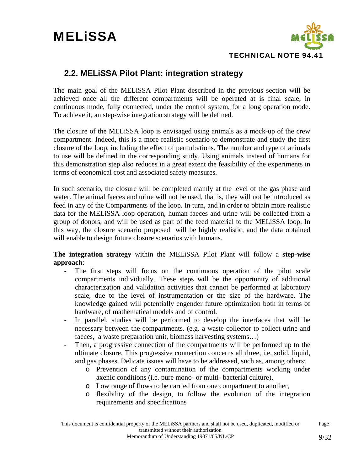

### **2.2. MELiSSA Pilot Plant: integration strategy**

The main goal of the MELiSSA Pilot Plant described in the previous section will be achieved once all the different compartments will be operated at is final scale, in continuous mode, fully connected, under the control system, for a long operation mode. To achieve it, an step-wise integration strategy will be defined.

The closure of the MELiSSA loop is envisaged using animals as a mock-up of the crew compartment. Indeed, this is a more realistic scenario to demonstrate and study the first closure of the loop, including the effect of perturbations. The number and type of animals to use will be defined in the corresponding study. Using animals instead of humans for this demonstration step also reduces in a great extent the feasibility of the experiments in terms of economical cost and associated safety measures.

In such scenario, the closure will be completed mainly at the level of the gas phase and water. The animal faeces and urine will not be used, that is, they will not be introduced as feed in any of the Compartments of the loop. In turn, and in order to obtain more realistic data for the MELiSSA loop operation, human faeces and urine will be collected from a group of donors, and will be used as part of the feed material to the MELiSSA loop. In this way, the closure scenario proposed will be highly realistic, and the data obtained will enable to design future closure scenarios with humans.

**The integration strategy** within the MELiSSA Pilot Plant will follow a **step-wise approach**:

- The first steps will focus on the continuous operation of the pilot scale compartments individually. These steps will be the opportunity of additional characterization and validation activities that cannot be performed at laboratory scale, due to the level of instrumentation or the size of the hardware. The knowledge gained will potentially engender future optimization both in terms of hardware, of mathematical models and of control.
- In parallel, studies will be performed to develop the interfaces that will be necessary between the compartments. (e.g. a waste collector to collect urine and faeces, a waste preparation unit, biomass harvesting systems…)
- Then, a progressive connection of the compartments will be performed up to the ultimate closure. This progressive connection concerns all three, i.e. solid, liquid, and gas phases. Delicate issues will have to be addressed, such as, among others:
	- o Prevention of any contamination of the compartments working under axenic conditions (i.e. pure mono- or multi- bacterial culture),
	- o Low range of flows to be carried from one compartment to another,
	- o flexibility of the design, to follow the evolution of the integration requirements and specifications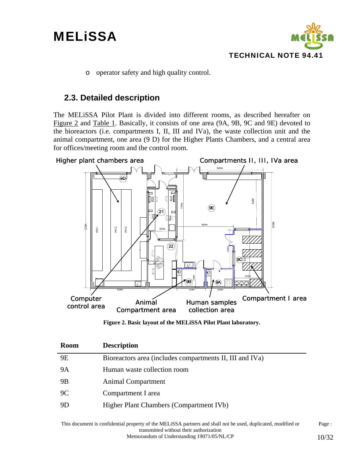

o operator safety and high quality control.

### **2.3. Detailed description**

The MELiSSA Pilot Plant is divided into different rooms, as described hereafter on Figure 2 and Table 1. Basically, it consists of one area (9A, 9B, 9C and 9E) devoted to the bioreactors (i.e. compartments I, II, III and IVa), the waste collection unit and the animal compartment, one area (9 D) for the Higher Plants Chambers, and a central area for offices/meeting room and the control room.



**Figure 2. Basic layout of the MELiSSA Pilot Plant laboratory.** 

| <b>Room</b> | <b>Description</b>                                       |
|-------------|----------------------------------------------------------|
| <b>9E</b>   | Bioreactors area (includes compartments II, III and IVa) |
| <b>9A</b>   | Human waste collection room                              |
| 9B          | Animal Compartment                                       |
| 9C          | Compartment I area                                       |
| 9D          | Higher Plant Chambers (Compartment IVb)                  |
|             |                                                          |

This document is confidential property of the MELiSSA partners and shall not be used, duplicated, modified or transmitted without their authorization Page : Memorandum of Understanding 19071/05/NL/CP 10/32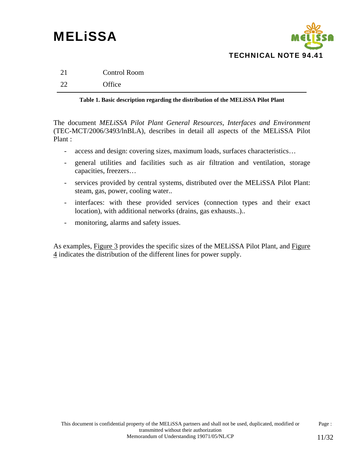

| 21 | Control Room |
|----|--------------|
| 22 | Office       |

#### **Table 1. Basic description regarding the distribution of the MELiSSA Pilot Plant**

The document *MELiSSA Pilot Plant General Resources, Interfaces and Environment*  (TEC-MCT/2006/3493/lnBLA), describes in detail all aspects of the MELiSSA Pilot Plant :

- access and design: covering sizes, maximum loads, surfaces characteristics…
- general utilities and facilities such as air filtration and ventilation, storage capacities, freezers…
- services provided by central systems, distributed over the MELiSSA Pilot Plant: steam, gas, power, cooling water..
- interfaces: with these provided services (connection types and their exact location), with additional networks (drains, gas exhausts..)..
- monitoring, alarms and safety issues.

As examples, Figure 3 provides the specific sizes of the MELiSSA Pilot Plant, and Figure 4 indicates the distribution of the different lines for power supply.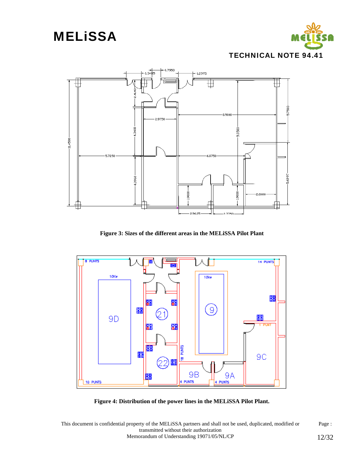



**Figure 3: Sizes of the different areas in the MELiSSA Pilot Plant** 



**Figure 4: Distribution of the power lines in the MELiSSA Pilot Plant.** 

This document is confidential property of the MELiSSA partners and shall not be used, duplicated, modified or transmitted without their authorization Page : Memorandum of Understanding 19071/05/NL/CP 12/32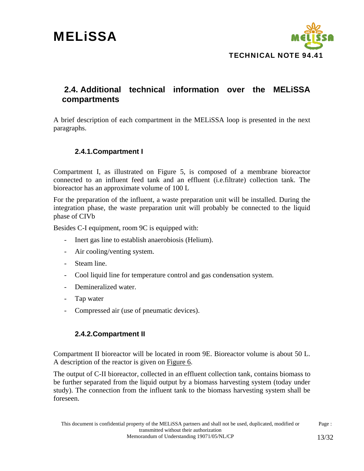

### **2.4. Additional technical information over the MELiSSA compartments**

A brief description of each compartment in the MELiSSA loop is presented in the next paragraphs.

### **2.4.1.Compartment I**

Compartment I, as illustrated on Figure 5, is composed of a membrane bioreactor connected to an influent feed tank and an effluent (i.e.filtrate) collection tank. The bioreactor has an approximate volume of 100 L

For the preparation of the influent, a waste preparation unit will be installed. During the integration phase, the waste preparation unit will probably be connected to the liquid phase of CIVb

Besides C-I equipment, room 9C is equipped with:

- Inert gas line to establish anaerobiosis (Helium).
- Air cooling/venting system.
- Steam line.
- Cool liquid line for temperature control and gas condensation system.
- Demineralized water.
- Tap water
- Compressed air (use of pneumatic devices).

#### **2.4.2.Compartment II**

Compartment II bioreactor will be located in room 9E. Bioreactor volume is about 50 L. A description of the reactor is given on Figure 6.

The output of C-II bioreactor, collected in an effluent collection tank, contains biomass to be further separated from the liquid output by a biomass harvesting system (today under study). The connection from the influent tank to the biomass harvesting system shall be foreseen.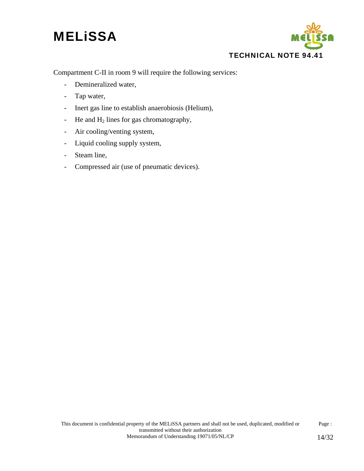

Compartment C-II in room 9 will require the following services:

- Demineralized water,
- Tap water,
- Inert gas line to establish anaerobiosis (Helium),
- He and  $H_2$  lines for gas chromatography,
- Air cooling/venting system,
- Liquid cooling supply system,
- Steam line,
- Compressed air (use of pneumatic devices).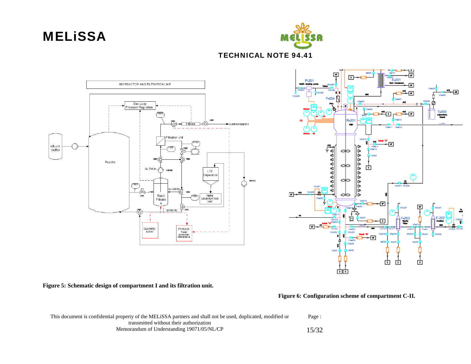



TECHNICAL NOTE 94.41



**Figure 5: Schematic design of compartment I and its filtration unit.** 

 **Figure 6: Configuration scheme of compartment C-II.** 

| This document is confidential property of the MELISSA partners and shall not be used, duplicated, modified or | Page : |
|---------------------------------------------------------------------------------------------------------------|--------|
| transmitted without their authorization                                                                       |        |
| Memorandum of Understanding 19071/05/NL/CP                                                                    | 15/32  |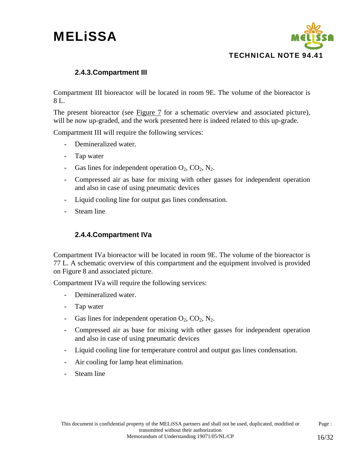

### **2.4.3.Compartment III**

Compartment III bioreactor will be located in room 9E. The volume of the bioreactor is 8 L.

The present bioreactor (see Figure 7 for a schematic overview and associated picture), will be now up-graded, and the work presented here is indeed related to this up-grade.

Compartment III will require the following services:

- Demineralized water.
- Tap water
- Gas lines for independent operation  $O_2$ ,  $CO_2$ ,  $N_2$ .
- Compressed air as base for mixing with other gasses for independent operation and also in case of using pneumatic devices
- Liquid cooling line for output gas lines condensation.
- Steam line

### **2.4.4.Compartment IVa**

Compartment IVa bioreactor will be located in room 9E. The volume of the bioreactor is 77 L. A schematic overview of this compartment and the equipment involved is provided on Figure 8 and associated picture.

Compartment IVa will require the following services:

- Demineralized water.
- Tap water
- Gas lines for independent operation  $O_2$ ,  $CO_2$ ,  $N_2$ .
- Compressed air as base for mixing with other gasses for independent operation and also in case of using pneumatic devices
- Liquid cooling line for temperature control and output gas lines condensation.
- Air cooling for lamp heat elimination.
- Steam line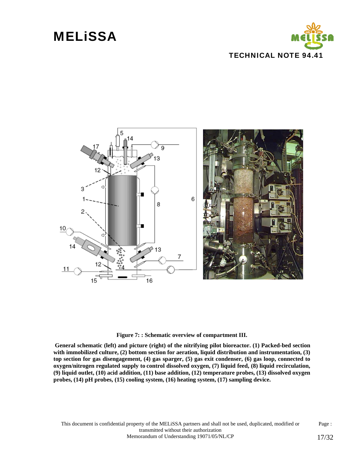





#### **Figure 7: : Schematic overview of compartment III.**

 **General schematic (left) and picture (right) of the nitrifying pilot bioreactor. (1) Packed-bed section with immobilized culture, (2) bottom section for aeration, liquid distribution and instrumentation, (3) top section for gas disengagement, (4) gas sparger, (5) gas exit condenser, (6) gas loop, connected to oxygen/nitrogen regulated supply to control dissolved oxygen, (7) liquid feed, (8) liquid recirculation, (9) liquid outlet, (10) acid addition, (11) base addition, (12) temperature probes, (13) dissolved oxygen probes, (14) pH probes, (15) cooling system, (16) heating system, (17) sampling device.** 

This document is confidential property of the MELiSSA partners and shall not be used, duplicated, modified or transmitted without their authorization Page : Memorandum of Understanding 19071/05/NL/CP 17/32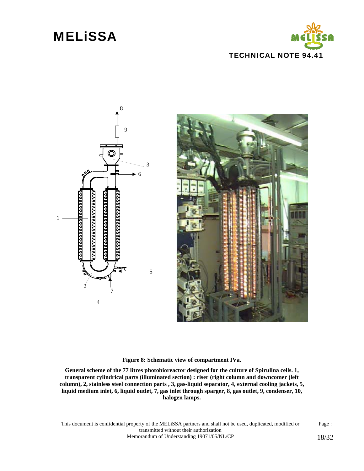



**Figure 8: Schematic view of compartment IVa.** 

**General scheme of the 77 litres photobioreactor designed for the culture of Spirulina cells. 1, transparent cylindrical parts (illuminated section) : riser (right column and downcomer (left column), 2, stainless steel connection parts , 3, gas-liquid separator, 4, external cooling jackets, 5, liquid medium inlet, 6, liquid outlet, 7, gas inlet through sparger, 8, gas outlet, 9, condenser, 10, halogen lamps.** 

This document is confidential property of the MELiSSA partners and shall not be used, duplicated, modified or transmitted without their authorization Page : Memorandum of Understanding 19071/05/NL/CP 18/32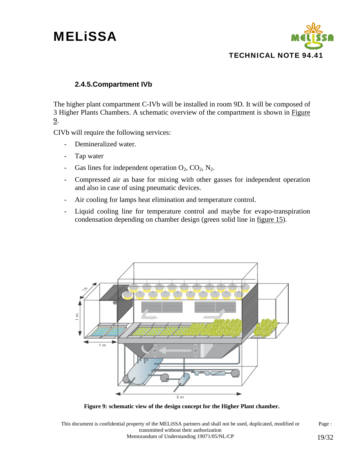

### **2.4.5.Compartment IVb**

The higher plant compartment C-IVb will be installed in room 9D. It will be composed of 3 Higher Plants Chambers. A schematic overview of the compartment is shown in Figure 9.

CIVb will require the following services:

- Demineralized water.
- Tap water
- Gas lines for independent operation  $O_2$ ,  $CO_2$ ,  $N_2$ .
- Compressed air as base for mixing with other gasses for independent operation and also in case of using pneumatic devices.
- Air cooling for lamps heat elimination and temperature control.
- Liquid cooling line for temperature control and maybe for evapo-transpiration condensation depending on chamber design (green solid line in figure 15).



**Figure 9: schematic view of the design concept for the Higher Plant chamber.** 

This document is confidential property of the MELiSSA partners and shall not be used, duplicated, modified or transmitted without their authorization Page : Memorandum of Understanding 19071/05/NL/CP 19/32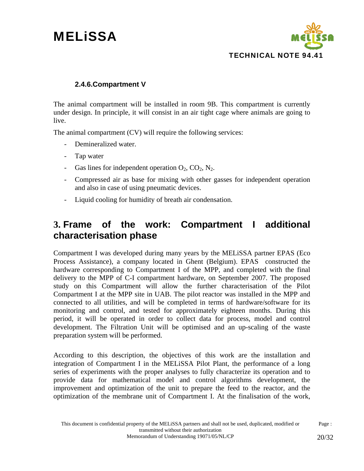

### **2.4.6.Compartment V**

The animal compartment will be installed in room 9B. This compartment is currently under design. In principle, it will consist in an air tight cage where animals are going to live.

The animal compartment (CV) will require the following services:

- Demineralized water.
- Tap water
- Gas lines for independent operation  $O_2$ ,  $CO_2$ ,  $N_2$ .
- Compressed air as base for mixing with other gasses for independent operation and also in case of using pneumatic devices.
- Liquid cooling for humidity of breath air condensation.

### **3. Frame of the work: Compartment I additional characterisation phase**

Compartment I was developed during many years by the MELiSSA partner EPAS (Eco Process Assistance), a company located in Ghent (Belgium). EPAS constructed the hardware corresponding to Compartment I of the MPP, and completed with the final delivery to the MPP of C-I compartment hardware, on September 2007. The proposed study on this Compartment will allow the further characterisation of the Pilot Compartment I at the MPP site in UAB. The pilot reactor was installed in the MPP and connected to all utilities, and will be completed in terms of hardware/software for its monitoring and control, and tested for approximately eighteen months. During this period, it will be operated in order to collect data for process, model and control development. The Filtration Unit will be optimised and an up-scaling of the waste preparation system will be performed.

According to this description, the objectives of this work are the installation and integration of Compartment I in the MELiSSA Pilot Plant, the performance of a long series of experiments with the proper analyses to fully characterize its operation and to provide data for mathematical model and control algorithms development, the improvement and optimization of the unit to prepare the feed to the reactor, and the optimization of the membrane unit of Compartment I. At the finalisation of the work,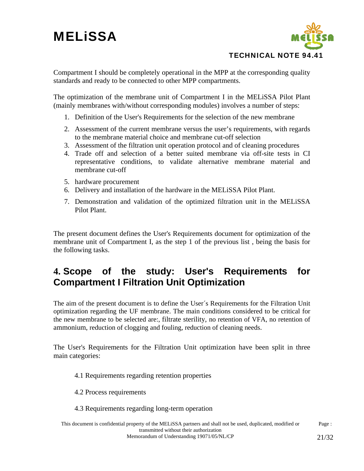

Compartment I should be completely operational in the MPP at the corresponding quality standards and ready to be connected to other MPP compartments.

The optimization of the membrane unit of Compartment I in the MELiSSA Pilot Plant (mainly membranes with/without corresponding modules) involves a number of steps:

- 1. Definition of the User's Requirements for the selection of the new membrane
- 2. Assessment of the current membrane versus the user's requirements, with regards to the membrane material choice and membrane cut-off selection
- 3. Assessment of the filtration unit operation protocol and of cleaning procedures
- 4. Trade off and selection of a better suited membrane via off-site tests in CI representative conditions, to validate alternative membrane material and membrane cut-off
- 5. hardware procurement
- 6. Delivery and installation of the hardware in the MELiSSA Pilot Plant.
- 7. Demonstration and validation of the optimized filtration unit in the MELiSSA Pilot Plant.

The present document defines the User's Requirements document for optimization of the membrane unit of Compartment I, as the step 1 of the previous list , being the basis for the following tasks.

## **4. Scope of the study: User's Requirements for Compartment I Filtration Unit Optimization**

The aim of the present document is to define the User´s Requirements for the Filtration Unit optimization regarding the UF membrane. The main conditions considered to be critical for the new membrane to be selected are:, filtrate sterility, no retention of VFA, no retention of ammonium, reduction of clogging and fouling, reduction of cleaning needs.

The User's Requirements for the Filtration Unit optimization have been split in three main categories:

- 4.1 Requirements regarding retention properties
- 4.2 Process requirements
- 4.3 Requirements regarding long-term operation

This document is confidential property of the MELiSSA partners and shall not be used, duplicated, modified or transmitted without their authorization Page : Memorandum of Understanding 19071/05/NL/CP 21/32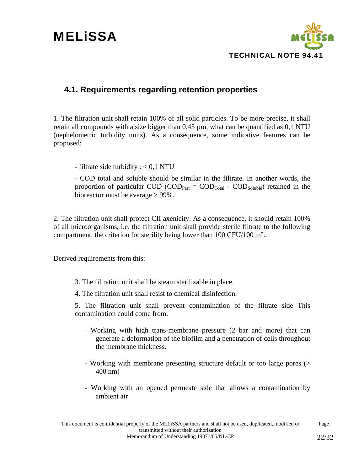

### **4.1. Requirements regarding retention properties**

1. The filtration unit shall retain 100% of all solid particles. To be more precise, it shall retain all compounds with a size bigger than 0,45 µm, what can be quantified as 0,1 NTU (nephelometric turbidity units). As a consequence, some indicative features can be proposed:

- filtrate side turbidity : < 0,1 NTU

- COD total and soluble should be similar in the filtrate. In another words, the proportion of particular COD (COD<sub>Part</sub> =  $\text{COD}_{\text{Total}}$  -  $\text{COD}_{\text{Soluble}}$ ) retained in the bioreactor must be average > 99%.

2. The filtration unit shall protect CII axenicity. As a consequence, it should retain 100% of all microorganisms, i.e. the filtration unit shall provide sterile filtrate to the following compartment, the criterion for sterility being lower than 100 CFU/100 mL.

Derived requirements from this:

- 3. The filtration unit shall be steam sterilizable in place.
- 4. The filtration unit shall resist to chemical disinfection.

5. The filtration unit shall prevent contamination of the filtrate side This contamination could come from:

- Working with high trans-membrane pressure (2 bar and more) that can generate a deformation of the biofilm and a penetration of cells throughout the membrane thickness.
- Working with membrane presenting structure default or too large pores (> 400 nm)
- Working with an opened permeate side that allows a contamination by ambient air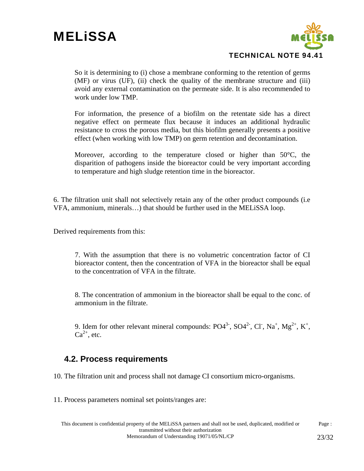

So it is determining to (i) chose a membrane conforming to the retention of germs (MF) or virus (UF), (ii) check the quality of the membrane structure and (iii) avoid any external contamination on the permeate side. It is also recommended to work under low TMP.

For information, the presence of a biofilm on the retentate side has a direct negative effect on permeate flux because it induces an additional hydraulic resistance to cross the porous media, but this biofilm generally presents a positive effect (when working with low TMP) on germ retention and decontamination.

Moreover, according to the temperature closed or higher than 50°C, the disparition of pathogens inside the bioreactor could be very important according to temperature and high sludge retention time in the bioreactor.

6. The filtration unit shall not selectively retain any of the other product compounds (i.e VFA, ammonium, minerals…) that should be further used in the MELiSSA loop.

Derived requirements from this:

7. With the assumption that there is no volumetric concentration factor of CI bioreactor content, then the concentration of VFA in the bioreactor shall be equal to the concentration of VFA in the filtrate.

8. The concentration of ammonium in the bioreactor shall be equal to the conc. of ammonium in the filtrate.

9. Idem for other relevant mineral compounds:  $PO4^{3}$ ,  $SO4^{2}$ , Cl, Na<sup>+</sup>, Mg<sup>2+</sup>, K<sup>+</sup>,  $Ca^{2+}$ , etc.

### **4.2. Process requirements**

10. The filtration unit and process shall not damage CI consortium micro-organisms.

11. Process parameters nominal set points/ranges are: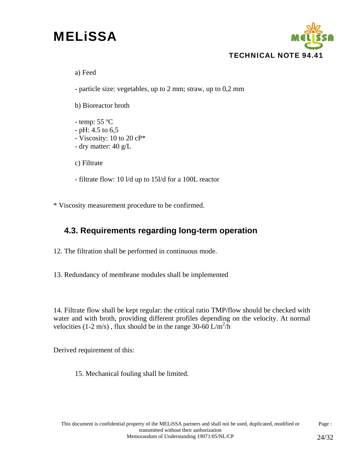

a) Feed

- particle size: vegetables, up to 2 mm; straw, up to 0,2 mm

b) Bioreactor broth

- temp: 55 ºC - pH: 4.5 to 6,5 - Viscosity: 10 to 20 cP\* - dry matter: 40 g/L

c) Filtrate

- filtrate flow: 10 l/d up to 15l/d for a 100L reactor

\* Viscosity measurement procedure to be confirmed.

### **4.3. Requirements regarding long-term operation**

12. The filtration shall be performed in continuous mode.

13. Redundancy of membrane modules shall be implemented

14. Filtrate flow shall be kept regular: the critical ratio TMP/flow should be checked with water and with broth, providing different profiles depending on the velocity. At normal velocities (1-2 m/s), flux should be in the range 30-60  $\text{L/m}^2/\text{h}$ 

Derived requirement of this:

15. Mechanical fouling shall be limited.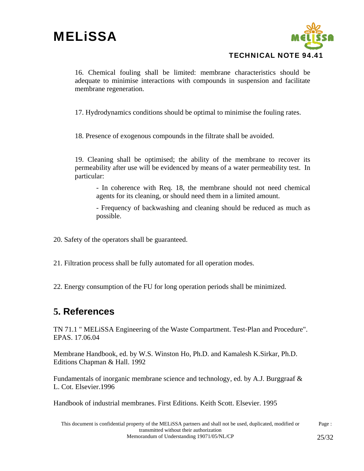

16. Chemical fouling shall be limited: membrane characteristics should be adequate to minimise interactions with compounds in suspension and facilitate membrane regeneration.

17. Hydrodynamics conditions should be optimal to minimise the fouling rates.

18. Presence of exogenous compounds in the filtrate shall be avoided.

19. Cleaning shall be optimised; the ability of the membrane to recover its permeability after use will be evidenced by means of a water permeability test. In particular:

- In coherence with Req. 18, the membrane should not need chemical agents for its cleaning, or should need them in a limited amount.

- Frequency of backwashing and cleaning should be reduced as much as possible.

- 20. Safety of the operators shall be guaranteed.
- 21. Filtration process shall be fully automated for all operation modes.
- 22. Energy consumption of the FU for long operation periods shall be minimized.

## **5. References**

TN 71.1 " MELiSSA Engineering of the Waste Compartment. Test-Plan and Procedure". EPAS. 17.06.04

Membrane Handbook, ed. by W.S. Winston Ho, Ph.D. and Kamalesh K.Sirkar, Ph.D. Editions Chapman & Hall. 1992

Fundamentals of inorganic membrane science and technology, ed. by A.J. Burggraaf  $\&$ L. Cot. Elsevier.1996

Handbook of industrial membranes. First Editions. Keith Scott. Elsevier. 1995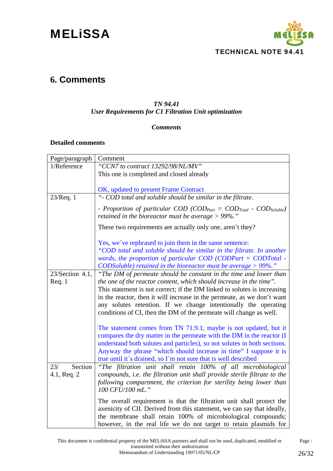

### **6. Comments**

### *TN 94.41*

### *User Requirements for C1 Filtration Unit optimization*

#### *Comments*

#### **Detailed comments**

| Page/paragraph     | Comment                                                                                                                                                         |
|--------------------|-----------------------------------------------------------------------------------------------------------------------------------------------------------------|
| 1/Reference        | "CCN7 to contract 13292/98/NL/MV"                                                                                                                               |
|                    | This one is completed and closed already                                                                                                                        |
|                    |                                                                                                                                                                 |
|                    | OK, updated to present Frame Contract                                                                                                                           |
| $23/$ Req. 1       | "- COD total and soluble should be similar in the filtrate.                                                                                                     |
|                    | - Proportion of particular COD (COD <sub>Part</sub> = COD <sub>Total</sub> - COD <sub>Soluble</sub> )<br>retained in the bioreactor must be average $> 99\%$ ." |
|                    | These two requirements are actually only one, aren't they?                                                                                                      |
|                    | Yes, we've rephrased to join them in the same sentence:<br>"COD total and soluble should be similar in the filtrate. In another                                 |
|                    | words, the proportion of particular $COD$ (CODPart = $CODTotal -$                                                                                               |
|                    | CODSoluble) retained in the bioreactor must be average $> 99\%$ ."                                                                                              |
| $23/Section 4.1$ , | "The DM of permeate should be constant in the time and lower than                                                                                               |
| Req.1              | the one of the reactor content, which should increase in the time".                                                                                             |
|                    | This statement is not correct; if the DM linked to solutes is increasing                                                                                        |
|                    | in the reactor, then it will increase in the permeate, as we don't want                                                                                         |
|                    | any solutes retention. If we change intentionally the operating                                                                                                 |
|                    | conditions of CI, then the DM of the permeate will change as well.                                                                                              |
|                    | The statement comes from TN 71.9.1, maybe is not updated, but it                                                                                                |
|                    | compares the dry matter in the permeate with the DM in the reactor (I                                                                                           |
|                    | understand both solutes and particles), so not solutes in both sections.                                                                                        |
|                    | Anyway the phrase "which should increase in time" I suppose it is                                                                                               |
|                    | true until it's drained, so I'm not sure that is well described                                                                                                 |
| Section<br>23/     | "The filtration unit shall retain 100% of all microbiological                                                                                                   |
| 4.1, Req. 2        | compounds, i.e. the filtration unit shall provide sterile filtrate to the                                                                                       |
|                    | following compartment, the criterion for sterility being lower than<br>100 CFU/100 mL."                                                                         |
|                    |                                                                                                                                                                 |
|                    | The overall requirement is that the filtration unit shall protect the<br>axenicity of CII. Derived from this statement, we can say that ideally,                |
|                    | the membrane shall retain 100% of microbiological compounds;                                                                                                    |
|                    | however, in the real life we do not target to retain plasmids for                                                                                               |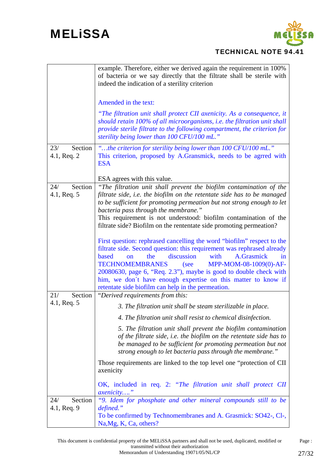

|                               | example. Therefore, either we derived again the requirement in 100%<br>of bacteria or we say directly that the filtrate shall be sterile with<br>indeed the indication of a sterility criterion                                                                                                                                                                                                                                                                                            |
|-------------------------------|--------------------------------------------------------------------------------------------------------------------------------------------------------------------------------------------------------------------------------------------------------------------------------------------------------------------------------------------------------------------------------------------------------------------------------------------------------------------------------------------|
|                               | Amended in the text:                                                                                                                                                                                                                                                                                                                                                                                                                                                                       |
|                               | "The filtration unit shall protect CII axenicity. As a consequence, it<br>should retain 100% of all microorganisms, i.e. the filtration unit shall<br>provide sterile filtrate to the following compartment, the criterion for<br>sterility being lower than 100 CFU/100 mL."                                                                                                                                                                                                              |
| Section<br>23/<br>4.1, Req. 2 | "the criterion for sterility being lower than 100 CFU/100 mL."<br>This criterion, proposed by A.Gransmick, needs to be agrred with<br><b>ESA</b>                                                                                                                                                                                                                                                                                                                                           |
|                               | ESA agrees with this value.                                                                                                                                                                                                                                                                                                                                                                                                                                                                |
| Section<br>24/<br>4.1, Req. 5 | "The filtration unit shall prevent the biofilm contamination of the<br>filtrate side, i.e. the biofilm on the retentate side has to be managed<br>to be sufficient for promoting permeation but not strong enough to let<br>bacteria pass through the membrane."<br>This requirement is not understood: biofilm contamination of the<br>filtrate side? Biofilm on the rententate side promoting permeation?                                                                                |
|                               | First question: rephrased cancelling the word "biofilm" respect to the<br>filtrate side. Second question: this requirement was rephrased already<br>the<br>discussion<br>with<br>A.Grasmick<br><b>based</b><br>$\mathbf{on}$<br>in<br><b>TECHNOMEMBRANES</b><br>MPP-MOM-08-1009(0)-AF-<br>(see<br>20080630, page 6, "Req. 2.3"), maybe is good to double check with<br>him, we don't have enough expertise on this matter to know if<br>retentate side biofilm can help in the permeation. |
| Section<br>21/                | "Derived requirements from this:                                                                                                                                                                                                                                                                                                                                                                                                                                                           |
| 4.1, Req. 5                   | 3. The filtration unit shall be steam sterilizable in place.                                                                                                                                                                                                                                                                                                                                                                                                                               |
|                               | 4. The filtration unit shall resist to chemical disinfection.                                                                                                                                                                                                                                                                                                                                                                                                                              |
|                               | 5. The filtration unit shall prevent the biofilm contamination<br>of the filtrate side, i.e. the biofilm on the retentate side has to<br>be managed to be sufficient for promoting permeation but not<br>strong enough to let bacteria pass through the membrane."                                                                                                                                                                                                                         |
|                               | Those requirements are linked to the top level one "protection of CII"<br>axenicity                                                                                                                                                                                                                                                                                                                                                                                                        |
|                               | OK, included in req. 2: "The filtration unit shall protect CII<br><i>axenicity</i> "                                                                                                                                                                                                                                                                                                                                                                                                       |
| Section<br>24/<br>4.1, Req. 9 | "9. Idem for phosphate and other mineral compounds still to be<br>defined."<br>To be confirmed by Technomembranes and A. Grasmick: SO42-, Cl-,<br>Na, Mg, K, Ca, others?                                                                                                                                                                                                                                                                                                                   |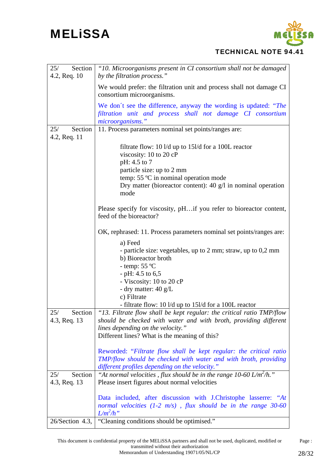

### TECHNICAL NOTE 94.41

| Section <sup>1</sup><br>25/<br>4.2, Req. 10 | "10. Microorganisms present in CI consortium shall not be damaged<br>by the filtration process."                                                                                                                                                                            |
|---------------------------------------------|-----------------------------------------------------------------------------------------------------------------------------------------------------------------------------------------------------------------------------------------------------------------------------|
|                                             | We would prefer: the filtration unit and process shall not damage CI<br>consortium microorganisms.                                                                                                                                                                          |
|                                             | We don't see the difference, anyway the wording is updated: "The<br>filtration unit and process shall not damage CI consortium<br>microorganisms."                                                                                                                          |
| Section<br>25/<br>4.2, Req. 11              | 11. Process parameters nominal set points/ranges are:                                                                                                                                                                                                                       |
|                                             | filtrate flow: 10 $\frac{1}{d}$ up to 15 $\frac{1}{d}$ for a 100L reactor<br>viscosity: 10 to 20 cP<br>pH: 4.5 to 7<br>particle size: up to 2 mm<br>temp: 55 °C in nominal operation mode<br>Dry matter (bioreactor content): $40 \text{ g/l}$ in nominal operation<br>mode |
|                                             | Please specify for viscosity, pHif you refer to bioreactor content,<br>feed of the bioreactor?                                                                                                                                                                              |
|                                             | OK, rephrased: 11. Process parameters nominal set points/ranges are:                                                                                                                                                                                                        |
|                                             | a) Feed<br>- particle size: vegetables, up to 2 mm; straw, up to 0,2 mm<br>b) Bioreactor broth<br>- temp: $55^{\circ}$ C<br>- pH: 4.5 to $6,5$<br>- Viscosity: 10 to 20 cP<br>- dry matter: 40 g/L                                                                          |
|                                             | c) Filtrate<br>- filtrate flow: 10 l/d up to 15l/d for a 100L reactor                                                                                                                                                                                                       |
| Section<br>25/<br>4.3, Req. 13              | "13. Filtrate flow shall be kept regular: the critical ratio TMP/flow<br>should be checked with water and with broth, providing different<br>lines depending on the velocity."<br>Different lines? What is the meaning of this?                                             |
|                                             | Reworded: "Filtrate flow shall be kept regular: the critical ratio<br>TMP/flow should be checked with water and with broth, providing<br>different profiles depending on the velocity."                                                                                     |
| Section<br>25/<br>4.3, Req. 13              | "At normal velocities, flux should be in the range 10-60 L/m <sup>2</sup> /h."<br>Please insert figures about normal velocities                                                                                                                                             |
|                                             | Data included, after discussion with J.Christophe lasserre: "At<br>normal velocities $(1-2 \, \text{m/s})$ , flux should be in the range 30-60<br>$L/m^2/h$ "                                                                                                               |
| $26/Section 4.3$ ,                          | "Cleaning conditions should be optimised."                                                                                                                                                                                                                                  |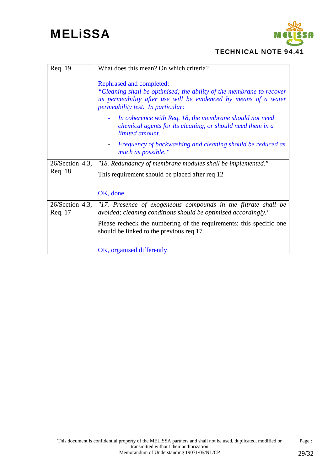

### TECHNICAL NOTE 94.41

| Req. 19                       | What does this mean? On which criteria?                                                                                                                                                                   |  |
|-------------------------------|-----------------------------------------------------------------------------------------------------------------------------------------------------------------------------------------------------------|--|
|                               | Rephrased and completed:<br>"Cleaning shall be optimised; the ability of the membrane to recover<br>its permeability after use will be evidenced by means of a water<br>permeability test. In particular: |  |
|                               | In coherence with Req. 18, the membrane should not need<br>chemical agents for its cleaning, or should need them in a<br>limited amount.                                                                  |  |
|                               | Frequency of backwashing and cleaning should be reduced as<br>much as possible."                                                                                                                          |  |
| $26/Section 4.3$ ,            | "18. Redundancy of membrane modules shall be implemented."                                                                                                                                                |  |
| Req. 18                       | This requirement should be placed after req 12                                                                                                                                                            |  |
|                               |                                                                                                                                                                                                           |  |
|                               | OK, done.                                                                                                                                                                                                 |  |
| $26$ /Section 4.3,<br>Req. 17 | "17. Presence of exogeneous compounds in the filtrate shall be<br>avoided; cleaning conditions should be optimised accordingly."                                                                          |  |
|                               | Please recheck the numbering of the requirements; this specific one<br>should be linked to the previous req 17.                                                                                           |  |
|                               | OK, organised differently.                                                                                                                                                                                |  |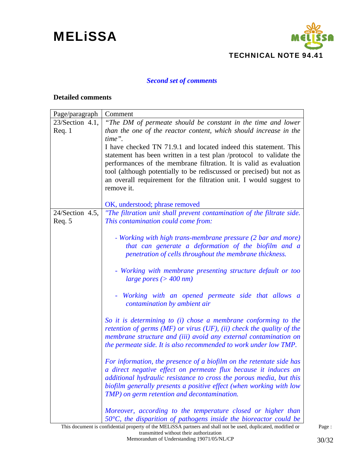

### *Second set of comments*

#### **Detailed comments**

| Page/paragraph     | Comment                                                                                                                                |
|--------------------|----------------------------------------------------------------------------------------------------------------------------------------|
| $23/Section 4.1$ , | "The DM of permeate should be constant in the time and lower                                                                           |
| Req.1              | than the one of the reactor content, which should increase in the                                                                      |
|                    | time".                                                                                                                                 |
|                    | I have checked TN 71.9.1 and located indeed this statement. This                                                                       |
|                    | statement has been written in a test plan /protocol to validate the                                                                    |
|                    | performances of the membrane filtration. It is valid as evaluation                                                                     |
|                    | tool (although potentially to be rediscussed or precised) but not as                                                                   |
|                    | an overall requirement for the filtration unit. I would suggest to                                                                     |
|                    | remove it.                                                                                                                             |
|                    | OK, understood; phrase removed                                                                                                         |
| 24/Section 4.5,    | "The filtration unit shall prevent contamination of the filtrate side.                                                                 |
| Req.5              | This contamination could come from:                                                                                                    |
|                    |                                                                                                                                        |
|                    | - Working with high trans-membrane pressure (2 bar and more)                                                                           |
|                    | that can generate a deformation of the biofilm and a                                                                                   |
|                    | penetration of cells throughout the membrane thickness.                                                                                |
|                    |                                                                                                                                        |
|                    | - Working with membrane presenting structure default or too                                                                            |
|                    | large pores ( $>$ 400 nm)                                                                                                              |
|                    | - Working with an opened permeate side that allows a                                                                                   |
|                    | contamination by ambient air                                                                                                           |
|                    | So it is determining to (i) chose a membrane conforming to the                                                                         |
|                    | retention of germs ( $MF$ ) or virus (UF), (ii) check the quality of the                                                               |
|                    | membrane structure and (iii) avoid any external contamination on                                                                       |
|                    | the permeate side. It is also recommended to work under low TMP.                                                                       |
|                    |                                                                                                                                        |
|                    | For information, the presence of a biofilm on the retentate side has                                                                   |
|                    | a direct negative effect on permeate flux because it induces an<br>additional hydraulic resistance to cross the porous media, but this |
|                    | biofilm generally presents a positive effect (when working with low                                                                    |
|                    | TMP) on germ retention and decontamination.                                                                                            |
|                    |                                                                                                                                        |
|                    | Moreover, according to the temperature closed or higher than                                                                           |
|                    | $50^{\circ}$ C, the disparition of pathogens inside the bioreactor could be                                                            |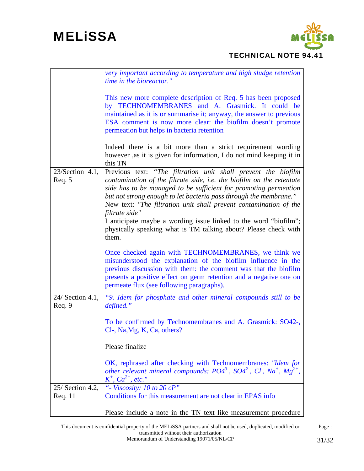

|                              | very important according to temperature and high sludge retention<br>time in the bioreactor."                                                                                                                                                                                                                                                                                                                                                                                                                          |
|------------------------------|------------------------------------------------------------------------------------------------------------------------------------------------------------------------------------------------------------------------------------------------------------------------------------------------------------------------------------------------------------------------------------------------------------------------------------------------------------------------------------------------------------------------|
|                              | This new more complete description of Req. 5 has been proposed<br>by TECHNOMEMBRANES and A. Grasmick. It could be<br>maintained as it is or summarise it; anyway, the answer to previous<br>ESA comment is now more clear: the biofilm doesn't promote<br>permeation but helps in bacteria retention                                                                                                                                                                                                                   |
|                              | Indeed there is a bit more than a strict requirement wording<br>however ,as it is given for information, I do not mind keeping it in<br>this TN                                                                                                                                                                                                                                                                                                                                                                        |
| $23/Section 4.1$ ,<br>Req. 5 | Previous text: "The filtration unit shall prevent the biofilm<br>contamination of the filtrate side, i.e. the biofilm on the retentate<br>side has to be managed to be sufficient for promoting permeation<br>but not strong enough to let bacteria pass through the membrane."<br>New text: "The filtration unit shall prevent contamination of the<br>filtrate side"<br>I anticipate maybe a wording issue linked to the word "biofilm";<br>physically speaking what is TM talking about? Please check with<br>them. |
|                              | Once checked again with TECHNOMEMBRANES, we think we<br>misunderstood the explanation of the biofilm influence in the<br>previous discussion with them: the comment was that the biofilm<br>presents a positive effect on germ retention and a negative one on<br>permeate flux (see following paragraphs).                                                                                                                                                                                                            |
| 24/ Section 4.1,<br>Req.9    | "9. Idem for phosphate and other mineral compounds still to be<br>defined."                                                                                                                                                                                                                                                                                                                                                                                                                                            |
|                              | To be confirmed by Technomembranes and A. Grasmick: SO42-,<br>Cl-, Na, Mg, K, Ca, others?                                                                                                                                                                                                                                                                                                                                                                                                                              |
|                              | Please finalize                                                                                                                                                                                                                                                                                                                                                                                                                                                                                                        |
|                              | OK, rephrased after checking with Technomembranes: "Idem for<br>other relevant mineral compounds: $PO4^3$ , $SO4^2$ , CI, Na <sup>+</sup> , Mg <sup>2+</sup> ,<br>$K^+$ , $Ca^{2+}$ , etc."                                                                                                                                                                                                                                                                                                                            |
| 25/ Section 4.2,             | "- Viscosity: $10$ to $20$ cP"                                                                                                                                                                                                                                                                                                                                                                                                                                                                                         |
| Req. 11                      | Conditions for this measurement are not clear in EPAS info                                                                                                                                                                                                                                                                                                                                                                                                                                                             |
|                              | Please include a note in the TN text like measurement procedure                                                                                                                                                                                                                                                                                                                                                                                                                                                        |

This document is confidential property of the MELiSSA partners and shall not be used, duplicated, modified or transmitted without their authorization Page : Memorandum of Understanding 19071/05/NL/CP 31/32